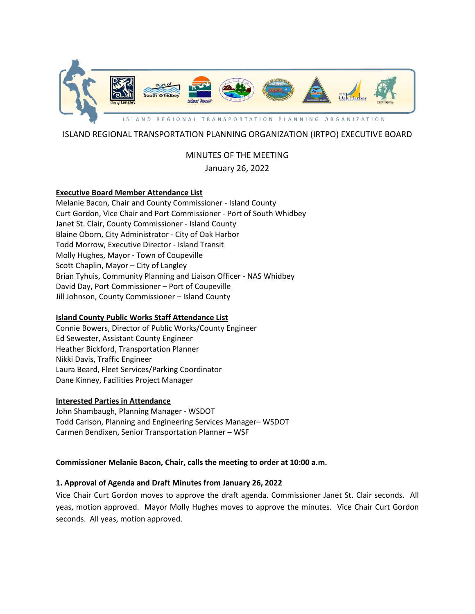

## ISLAND REGIONAL TRANSPORTATION PLANNING ORGANIZATION (IRTPO) EXECUTIVE BOARD

# MINUTES OF THE MEETING

## January 26, 2022

### **Executive Board Member Attendance List**

Melanie Bacon, Chair and County Commissioner - Island County Curt Gordon, Vice Chair and Port Commissioner - Port of South Whidbey Janet St. Clair, County Commissioner - Island County Blaine Oborn, City Administrator - City of Oak Harbor Todd Morrow, Executive Director - Island Transit Molly Hughes, Mayor - Town of Coupeville Scott Chaplin, Mayor – City of Langley Brian Tyhuis, Community Planning and Liaison Officer - NAS Whidbey David Day, Port Commissioner – Port of Coupeville Jill Johnson, County Commissioner – Island County

## **Island County Public Works Staff Attendance List**

Connie Bowers, Director of Public Works/County Engineer Ed Sewester, Assistant County Engineer Heather Bickford, Transportation Planner Nikki Davis, Traffic Engineer Laura Beard, Fleet Services/Parking Coordinator Dane Kinney, Facilities Project Manager

#### **Interested Parties in Attendance**

John Shambaugh, Planning Manager - WSDOT Todd Carlson, Planning and Engineering Services Manager– WSDOT Carmen Bendixen, Senior Transportation Planner – WSF

#### **Commissioner Melanie Bacon, Chair, calls the meeting to order at 10:00 a.m.**

#### **1. Approval of Agenda and Draft Minutes from January 26, 2022**

Vice Chair Curt Gordon moves to approve the draft agenda. Commissioner Janet St. Clair seconds. All yeas, motion approved. Mayor Molly Hughes moves to approve the minutes. Vice Chair Curt Gordon seconds. All yeas, motion approved.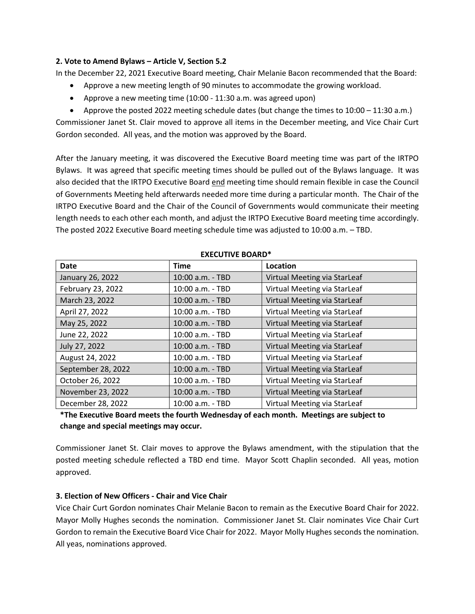#### **2. Vote to Amend Bylaws – Article V, Section 5.2**

In the December 22, 2021 Executive Board meeting, Chair Melanie Bacon recommended that the Board:

- Approve a new meeting length of 90 minutes to accommodate the growing workload.
- Approve a new meeting time (10:00 11:30 a.m. was agreed upon)

• Approve the posted 2022 meeting schedule dates (but change the times to 10:00 – 11:30 a.m.)

Commissioner Janet St. Clair moved to approve all items in the December meeting, and Vice Chair Curt Gordon seconded. All yeas, and the motion was approved by the Board.

After the January meeting, it was discovered the Executive Board meeting time was part of the IRTPO Bylaws. It was agreed that specific meeting times should be pulled out of the Bylaws language. It was also decided that the IRTPO Executive Board end meeting time should remain flexible in case the Council of Governments Meeting held afterwards needed more time during a particular month. The Chair of the IRTPO Executive Board and the Chair of the Council of Governments would communicate their meeting length needs to each other each month, and adjust the IRTPO Executive Board meeting time accordingly. The posted 2022 Executive Board meeting schedule time was adjusted to 10:00 a.m. – TBD.

| <b>Date</b>        | <b>Time</b>      | Location                     |
|--------------------|------------------|------------------------------|
| January 26, 2022   | 10:00 a.m. - TBD | Virtual Meeting via StarLeaf |
| February 23, 2022  | 10:00 a.m. - TBD | Virtual Meeting via StarLeaf |
| March 23, 2022     | 10:00 a.m. - TBD | Virtual Meeting via StarLeaf |
| April 27, 2022     | 10:00 a.m. - TBD | Virtual Meeting via StarLeaf |
| May 25, 2022       | 10:00 a.m. - TBD | Virtual Meeting via StarLeaf |
| June 22, 2022      | 10:00 a.m. - TBD | Virtual Meeting via StarLeaf |
| July 27, 2022      | 10:00 a.m. - TBD | Virtual Meeting via StarLeaf |
| August 24, 2022    | 10:00 a.m. - TBD | Virtual Meeting via StarLeaf |
| September 28, 2022 | 10:00 a.m. - TBD | Virtual Meeting via StarLeaf |
| October 26, 2022   | 10:00 a.m. - TBD | Virtual Meeting via StarLeaf |
| November 23, 2022  | 10:00 a.m. - TBD | Virtual Meeting via StarLeaf |
| December 28, 2022  | 10:00 a.m. - TBD | Virtual Meeting via StarLeaf |

#### **EXECUTIVE BOARD\***

**\*The Executive Board meets the fourth Wednesday of each month. Meetings are subject to change and special meetings may occur.**

Commissioner Janet St. Clair moves to approve the Bylaws amendment, with the stipulation that the posted meeting schedule reflected a TBD end time. Mayor Scott Chaplin seconded. All yeas, motion approved.

## **3. Election of New Officers - Chair and Vice Chair**

Vice Chair Curt Gordon nominates Chair Melanie Bacon to remain as the Executive Board Chair for 2022. Mayor Molly Hughes seconds the nomination. Commissioner Janet St. Clair nominates Vice Chair Curt Gordon to remain the Executive Board Vice Chair for 2022. Mayor Molly Hughes seconds the nomination. All yeas, nominations approved.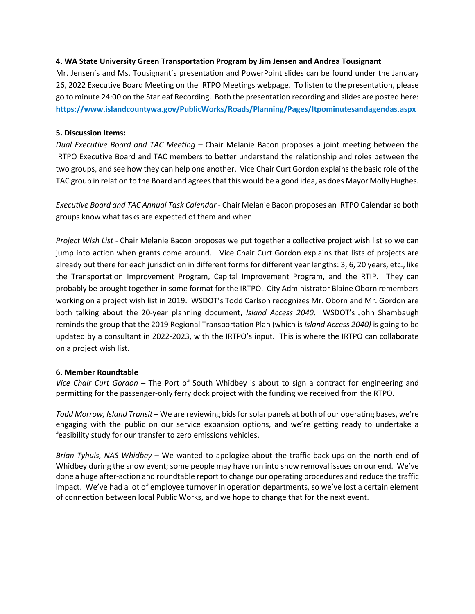#### **4. WA State University Green Transportation Program by Jim Jensen and Andrea Tousignant**

Mr. Jensen's and Ms. Tousignant's presentation and PowerPoint slides can be found under the January 26, 2022 Executive Board Meeting on the IRTPO Meetings webpage. To listen to the presentation, please go to minute 24:00 on the Starleaf Recording. Both the presentation recording and slides are posted here: **<https://www.islandcountywa.gov/PublicWorks/Roads/Planning/Pages/Itpominutesandagendas.aspx>**

## **5. Discussion Items:**

*Dual Executive Board and TAC Meeting –* Chair Melanie Bacon proposes a joint meeting between the IRTPO Executive Board and TAC members to better understand the relationship and roles between the two groups, and see how they can help one another. Vice Chair Curt Gordon explains the basic role of the TAC group in relation to the Board and agrees that this would be a good idea, as does Mayor Molly Hughes.

*Executive Board and TAC Annual Task Calendar -* Chair Melanie Bacon proposes an IRTPO Calendar so both groups know what tasks are expected of them and when.

*Project Wish List -* Chair Melanie Bacon proposes we put together a collective project wish list so we can jump into action when grants come around. Vice Chair Curt Gordon explains that lists of projects are already out there for each jurisdiction in different forms for different year lengths: 3, 6, 20 years, etc., like the Transportation Improvement Program, Capital Improvement Program, and the RTIP. They can probably be brought together in some format for the IRTPO. City Administrator Blaine Oborn remembers working on a project wish list in 2019. WSDOT's Todd Carlson recognizes Mr. Oborn and Mr. Gordon are both talking about the 20-year planning document, *Island Access 2040*. WSDOT's John Shambaugh reminds the group that the 2019 Regional Transportation Plan (which is *Island Access 2040)* is going to be updated by a consultant in 2022-2023, with the IRTPO's input. This is where the IRTPO can collaborate on a project wish list.

#### **6. Member Roundtable**

*Vice Chair Curt Gordon* – The Port of South Whidbey is about to sign a contract for engineering and permitting for the passenger-only ferry dock project with the funding we received from the RTPO.

*Todd Morrow, Island Transit* – We are reviewing bids for solar panels at both of our operating bases, we're engaging with the public on our service expansion options, and we're getting ready to undertake a feasibility study for our transfer to zero emissions vehicles.

*Brian Tyhuis, NAS Whidbey* – We wanted to apologize about the traffic back-ups on the north end of Whidbey during the snow event; some people may have run into snow removal issues on our end. We've done a huge after-action and roundtable report to change our operating procedures and reduce the traffic impact. We've had a lot of employee turnover in operation departments, so we've lost a certain element of connection between local Public Works, and we hope to change that for the next event.